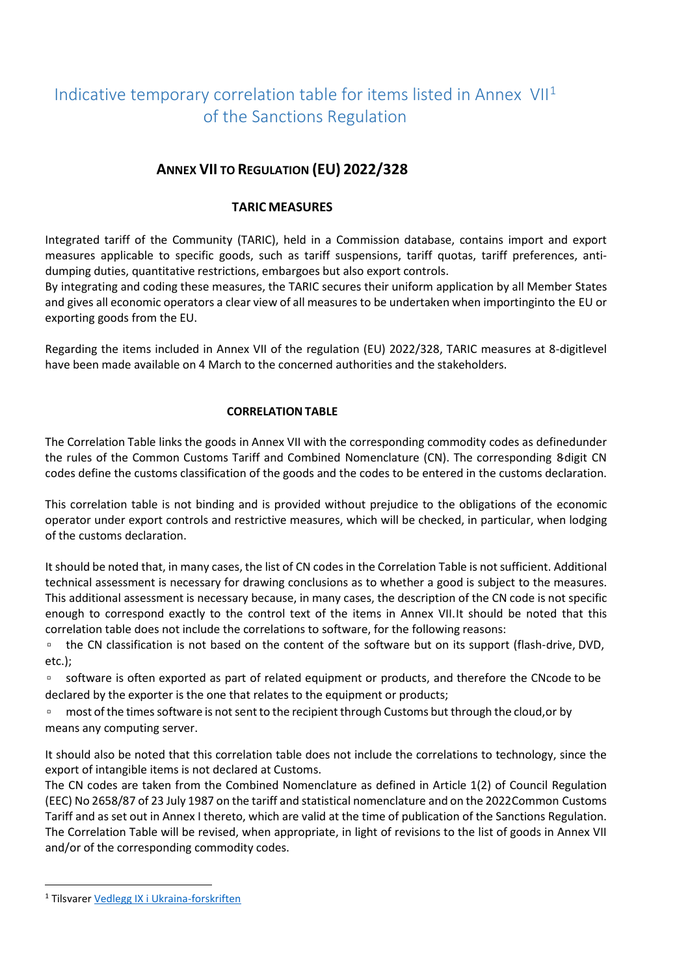# Indicative temporary correlation table for items listed in Annex  $VII<sup>1</sup>$  $VII<sup>1</sup>$  $VII<sup>1</sup>$ of the Sanctions Regulation

## **ANNEX VII TO REGULATION (EU) 2022/328**

#### **TARIC MEASURES**

Integrated tariff of the Community (TARIC), held in a Commission database, contains import and export measures applicable to specific goods, such as tariff suspensions, tariff quotas, tariff preferences, antidumping duties, quantitative restrictions, embargoes but also export controls.

By integrating and coding these measures, the TARIC secures their uniform application by all Member States and gives all economic operators a clear view of all measures to be undertaken when importinginto the EU or exporting goods from the EU.

Regarding the items included in Annex VII of the regulation (EU) 2022/328, TARIC measures at 8-digitlevel have been made available on 4 March to the concerned authorities and the stakeholders.

#### **CORRELATION TABLE**

The Correlation Table links the goods in Annex VII with the corresponding commodity codes as definedunder the rules of the Common Customs Tariff and Combined Nomenclature (CN). The corresponding 8-digit CN codes define the customs classification of the goods and the codes to be entered in the customs declaration.

This correlation table is not binding and is provided without prejudice to the obligations of the economic operator under export controls and restrictive measures, which will be checked, in particular, when lodging of the customs declaration.

It should be noted that, in many cases, the list of CN codes in the Correlation Table is not sufficient. Additional technical assessment is necessary for drawing conclusions as to whether a good is subject to the measures. This additional assessment is necessary because, in many cases, the description of the CN code is not specific enough to correspond exactly to the control text of the items in Annex VII.It should be noted that this correlation table does not include the correlations to software, for the following reasons:

□ the CN classification is not based on the content of the software but on its support (flash-drive, DVD, etc.);

▫ software is often exported as part of related equipment or products, and therefore the CNcode to be declared by the exporter is the one that relates to the equipment or products;

□ most of the times software is not sent to the recipient through Customs but through the cloud, or by means any computing server.

It should also be noted that this correlation table does not include the correlations to technology, since the export of intangible items is not declared at Customs.

The CN codes are taken from the Combined Nomenclature as defined in Article 1(2) of Council Regulation (EEC) No 2658/87 of 23 July 1987 on the tariff and statistical nomenclature and on the 2022Common Customs Tariff and as set out in Annex I thereto, which are valid at the time of publication of the Sanctions Regulation. The Correlation Table will be revised, when appropriate, in light of revisions to the list of goods in Annex VII and/or of the corresponding commodity codes.

<span id="page-0-0"></span><sup>1</sup> Tilsvare[r Vedlegg IX i Ukraina-forskriften](https://lovdata.no/dokument/SF/forskrift/2014-08-15-1076/KAPITTEL_15#KAPITTEL_15)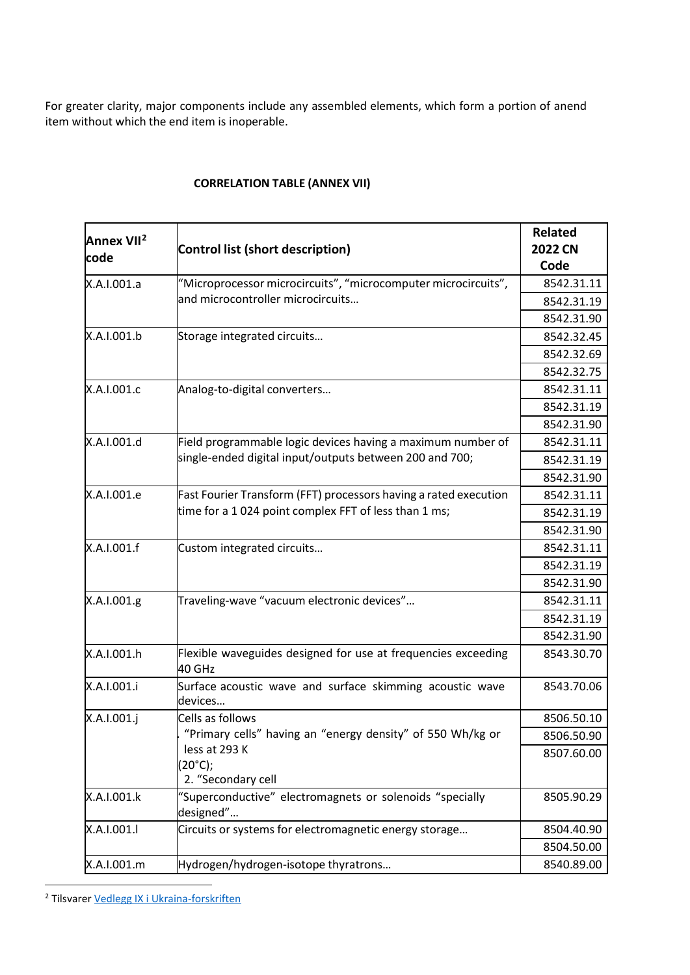For greater clarity, major components include any assembled elements, which form a portion of anend item without which the end item is inoperable.

| Annex VII <sup>2</sup><br>code | Control list (short description)                                        | Related<br><b>2022 CN</b><br>Code |
|--------------------------------|-------------------------------------------------------------------------|-----------------------------------|
| X.A.I.001.a                    | "Microprocessor microcircuits", "microcomputer microcircuits",          | 8542.31.11                        |
|                                | and microcontroller microcircuits                                       | 8542.31.19                        |
|                                |                                                                         | 8542.31.90                        |
| X.A.I.001.b                    | Storage integrated circuits                                             | 8542.32.45                        |
|                                |                                                                         | 8542.32.69                        |
|                                |                                                                         | 8542.32.75                        |
| X.A.I.001.c                    | Analog-to-digital converters                                            | 8542.31.11                        |
|                                |                                                                         | 8542.31.19                        |
|                                |                                                                         | 8542.31.90                        |
| X.A.I.001.d                    | Field programmable logic devices having a maximum number of             | 8542.31.11                        |
|                                | single-ended digital input/outputs between 200 and 700;                 | 8542.31.19                        |
|                                |                                                                         | 8542.31.90                        |
| X.A.I.001.e                    | Fast Fourier Transform (FFT) processors having a rated execution        | 8542.31.11                        |
|                                | time for a 1024 point complex FFT of less than 1 ms;                    | 8542.31.19                        |
|                                |                                                                         | 8542.31.90                        |
| X.A.I.001.f                    | Custom integrated circuits                                              | 8542.31.11                        |
|                                |                                                                         | 8542.31.19                        |
|                                |                                                                         | 8542.31.90                        |
| X.A.I.001.g                    | Traveling-wave "vacuum electronic devices"                              | 8542.31.11                        |
|                                |                                                                         | 8542.31.19                        |
|                                |                                                                         | 8542.31.90                        |
| X.A.I.001.h                    | Flexible waveguides designed for use at frequencies exceeding<br>40 GHz | 8543.30.70                        |
| X.A.I.001.i                    | Surface acoustic wave and surface skimming acoustic wave<br>devices     | 8543.70.06                        |
| X.A.I.001.j                    | Cells as follows                                                        | 8506.50.10                        |
|                                | "Primary cells" having an "energy density" of 550 Wh/kg or              | 8506.50.90                        |
|                                | less at 293 K<br>(20°C);<br>2. "Secondary cell                          | 8507.60.00                        |
| X.A.I.001.k                    | "Superconductive" electromagnets or solenoids "specially<br>designed"   | 8505.90.29                        |
| X.A.I.001.I                    | Circuits or systems for electromagnetic energy storage                  | 8504.40.90                        |
|                                |                                                                         | 8504.50.00                        |
| X.A.I.001.m                    | Hydrogen/hydrogen-isotope thyratrons                                    | 8540.89.00                        |

### **CORRELATION TABLE (ANNEX VII)**

<span id="page-1-0"></span><sup>2</sup> Tilsvare[r Vedlegg IX i Ukraina-forskriften](https://lovdata.no/dokument/SF/forskrift/2014-08-15-1076/KAPITTEL_15#KAPITTEL_15)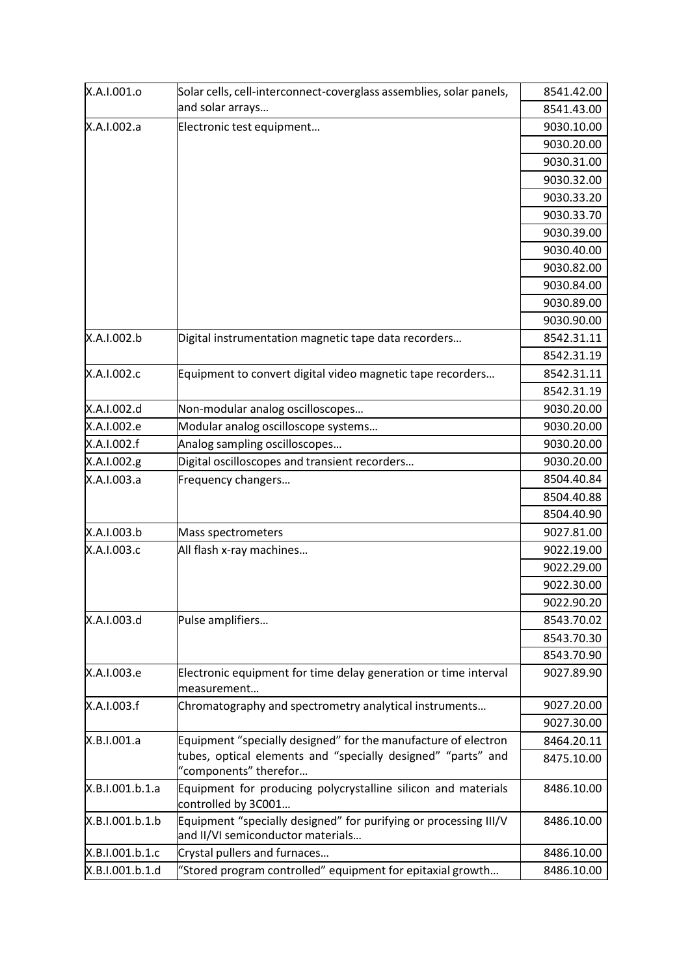| X.A.I.001.o     | Solar cells, cell-interconnect-coverglass assemblies, solar panels,                                                            | 8541.42.00 |
|-----------------|--------------------------------------------------------------------------------------------------------------------------------|------------|
|                 | and solar arrays                                                                                                               | 8541.43.00 |
| X.A.I.002.a     | Electronic test equipment                                                                                                      | 9030.10.00 |
|                 |                                                                                                                                | 9030.20.00 |
|                 |                                                                                                                                | 9030.31.00 |
|                 |                                                                                                                                | 9030.32.00 |
|                 |                                                                                                                                | 9030.33.20 |
|                 |                                                                                                                                | 9030.33.70 |
|                 |                                                                                                                                | 9030.39.00 |
|                 |                                                                                                                                | 9030.40.00 |
|                 |                                                                                                                                | 9030.82.00 |
|                 |                                                                                                                                | 9030.84.00 |
|                 |                                                                                                                                | 9030.89.00 |
|                 |                                                                                                                                | 9030.90.00 |
| X.A.I.002.b     | Digital instrumentation magnetic tape data recorders                                                                           | 8542.31.11 |
|                 |                                                                                                                                | 8542.31.19 |
| X.A.I.002.c     | Equipment to convert digital video magnetic tape recorders                                                                     | 8542.31.11 |
|                 |                                                                                                                                | 8542.31.19 |
| X.A.I.002.d     | Non-modular analog oscilloscopes                                                                                               | 9030.20.00 |
| X.A.I.002.e     | Modular analog oscilloscope systems                                                                                            | 9030.20.00 |
| X.A.I.002.f     | Analog sampling oscilloscopes                                                                                                  | 9030.20.00 |
| X.A.I.002.g     | Digital oscilloscopes and transient recorders                                                                                  | 9030.20.00 |
| X.A.I.003.a     | Frequency changers                                                                                                             | 8504.40.84 |
|                 |                                                                                                                                | 8504.40.88 |
|                 |                                                                                                                                | 8504.40.90 |
| X.A.I.003.b     | Mass spectrometers                                                                                                             | 9027.81.00 |
| X.A.I.003.c     | All flash x-ray machines                                                                                                       | 9022.19.00 |
|                 |                                                                                                                                | 9022.29.00 |
|                 |                                                                                                                                | 9022.30.00 |
|                 |                                                                                                                                | 9022.90.20 |
| X.A.I.003.d     | Pulse amplifiers                                                                                                               | 8543.70.02 |
|                 |                                                                                                                                | 8543.70.30 |
|                 |                                                                                                                                | 8543.70.90 |
| X.A.I.003.e     | Electronic equipment for time delay generation or time interval                                                                | 9027.89.90 |
|                 | measurement                                                                                                                    |            |
| X.A.I.003.f     | Chromatography and spectrometry analytical instruments                                                                         | 9027.20.00 |
|                 |                                                                                                                                | 9027.30.00 |
| X.B.I.001.a     | Equipment "specially designed" for the manufacture of electron<br>tubes, optical elements and "specially designed" "parts" and | 8464.20.11 |
|                 | "components" therefor                                                                                                          | 8475.10.00 |
| X.B.I.001.b.1.a | Equipment for producing polycrystalline silicon and materials<br>controlled by 3C001                                           | 8486.10.00 |
| X.B.I.001.b.1.b | Equipment "specially designed" for purifying or processing III/V                                                               | 8486.10.00 |
|                 | and II/VI semiconductor materials                                                                                              |            |
| X.B.I.001.b.1.c | Crystal pullers and furnaces                                                                                                   | 8486.10.00 |
| X.B.I.001.b.1.d | "Stored program controlled" equipment for epitaxial growth                                                                     | 8486.10.00 |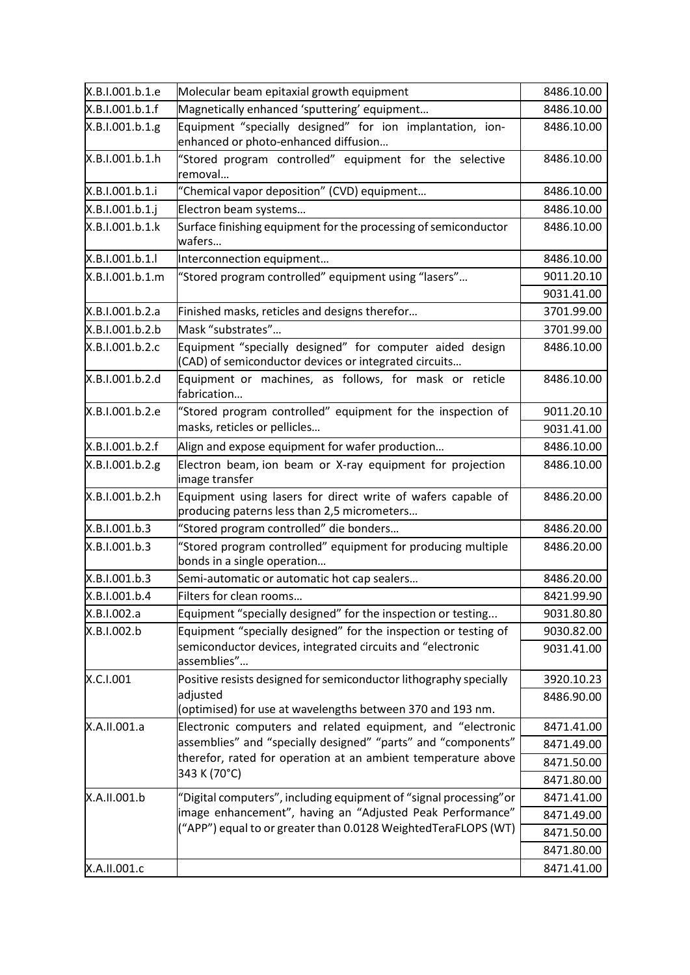| X.B.I.001.b.1.e | Molecular beam epitaxial growth equipment                                                                         | 8486.10.00 |
|-----------------|-------------------------------------------------------------------------------------------------------------------|------------|
| X.B.I.001.b.1.f | Magnetically enhanced 'sputtering' equipment                                                                      | 8486.10.00 |
| X.B.I.001.b.1.g | Equipment "specially designed" for ion implantation, ion-<br>enhanced or photo-enhanced diffusion                 | 8486.10.00 |
| X.B.I.001.b.1.h | "Stored program controlled" equipment for the selective<br>removal                                                | 8486.10.00 |
| X.B.I.001.b.1.i | "Chemical vapor deposition" (CVD) equipment                                                                       | 8486.10.00 |
| X.B.I.001.b.1.j | Electron beam systems                                                                                             | 8486.10.00 |
| X.B.I.001.b.1.k | Surface finishing equipment for the processing of semiconductor<br>wafers                                         | 8486.10.00 |
| X.B.I.001.b.1.l | Interconnection equipment                                                                                         | 8486.10.00 |
| X.B.I.001.b.1.m | "Stored program controlled" equipment using "lasers"                                                              | 9011.20.10 |
|                 |                                                                                                                   | 9031.41.00 |
| X.B.I.001.b.2.a | Finished masks, reticles and designs therefor                                                                     | 3701.99.00 |
| X.B.I.001.b.2.b | Mask "substrates"                                                                                                 | 3701.99.00 |
| X.B.I.001.b.2.c | Equipment "specially designed" for computer aided design<br>(CAD) of semiconductor devices or integrated circuits | 8486.10.00 |
| X.B.I.001.b.2.d | Equipment or machines, as follows, for mask or reticle<br>fabrication                                             | 8486.10.00 |
| X.B.I.001.b.2.e | "Stored program controlled" equipment for the inspection of                                                       | 9011.20.10 |
|                 | masks, reticles or pellicles                                                                                      | 9031.41.00 |
| X.B.I.001.b.2.f | Align and expose equipment for wafer production                                                                   | 8486.10.00 |
| X.B.I.001.b.2.g | Electron beam, ion beam or X-ray equipment for projection<br>image transfer                                       | 8486.10.00 |
| X.B.I.001.b.2.h | Equipment using lasers for direct write of wafers capable of<br>producing paterns less than 2,5 micrometers       | 8486.20.00 |
| X.B.I.001.b.3   | "Stored program controlled" die bonders                                                                           | 8486.20.00 |
| X.B.I.001.b.3   | "Stored program controlled" equipment for producing multiple<br>bonds in a single operation                       | 8486.20.00 |
| X.B.I.001.b.3   | Semi-automatic or automatic hot cap sealers                                                                       | 8486.20.00 |
| X.B.I.001.b.4   | Filters for clean rooms                                                                                           | 8421.99.90 |
| X.B.I.002.a     | Equipment "specially designed" for the inspection or testing                                                      | 9031.80.80 |
| X.B.I.002.b     | Equipment "specially designed" for the inspection or testing of                                                   | 9030.82.00 |
|                 | semiconductor devices, integrated circuits and "electronic<br>assemblies"                                         | 9031.41.00 |
| X.C.I.001       | Positive resists designed for semiconductor lithography specially                                                 | 3920.10.23 |
|                 | adjusted<br>(optimised) for use at wavelengths between 370 and 193 nm.                                            | 8486.90.00 |
| X.A.II.001.a    | Electronic computers and related equipment, and "electronic                                                       | 8471.41.00 |
|                 | assemblies" and "specially designed" "parts" and "components"                                                     | 8471.49.00 |
|                 | therefor, rated for operation at an ambient temperature above                                                     | 8471.50.00 |
|                 | 343 K (70°C)                                                                                                      | 8471.80.00 |
| X.A.II.001.b    | "Digital computers", including equipment of "signal processing" or                                                | 8471.41.00 |
|                 | image enhancement", having an "Adjusted Peak Performance"                                                         | 8471.49.00 |
|                 | ("APP") equal to or greater than 0.0128 WeightedTeraFLOPS (WT)                                                    | 8471.50.00 |
|                 |                                                                                                                   | 8471.80.00 |
| X.A.II.001.c    |                                                                                                                   | 8471.41.00 |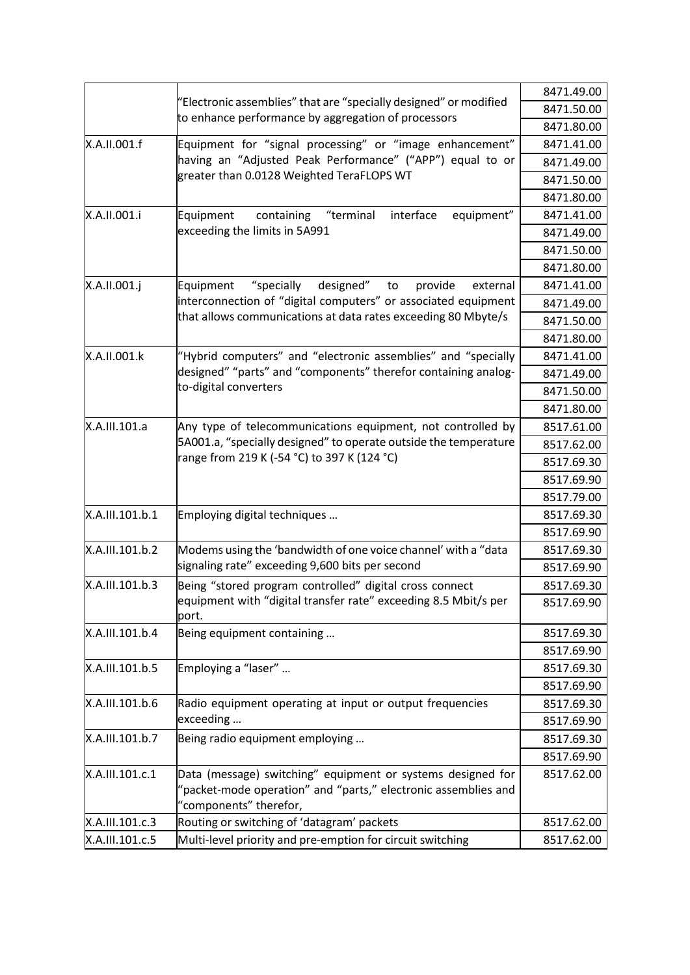|                 |                                                                                                                                                         | 8471.49.00 |
|-----------------|---------------------------------------------------------------------------------------------------------------------------------------------------------|------------|
|                 | "Electronic assemblies" that are "specially designed" or modified                                                                                       | 8471.50.00 |
|                 | to enhance performance by aggregation of processors                                                                                                     | 8471.80.00 |
| X.A.II.001.f    | Equipment for "signal processing" or "image enhancement"                                                                                                | 8471.41.00 |
|                 | having an "Adjusted Peak Performance" ("APP") equal to or                                                                                               | 8471.49.00 |
|                 | greater than 0.0128 Weighted TeraFLOPS WT                                                                                                               | 8471.50.00 |
|                 |                                                                                                                                                         | 8471.80.00 |
| X.A.II.001.i    | "terminal<br>interface<br>equipment"<br>Equipment<br>containing                                                                                         | 8471.41.00 |
|                 | exceeding the limits in 5A991                                                                                                                           | 8471.49.00 |
|                 |                                                                                                                                                         | 8471.50.00 |
|                 |                                                                                                                                                         | 8471.80.00 |
| X.A.II.001.j    | "specially<br>designed"<br>Equipment<br>provide<br>external<br>to                                                                                       | 8471.41.00 |
|                 | interconnection of "digital computers" or associated equipment                                                                                          | 8471.49.00 |
|                 | that allows communications at data rates exceeding 80 Mbyte/s                                                                                           | 8471.50.00 |
|                 |                                                                                                                                                         | 8471.80.00 |
| X.A.II.001.k    | "Hybrid computers" and "electronic assemblies" and "specially                                                                                           | 8471.41.00 |
|                 | designed" "parts" and "components" therefor containing analog-                                                                                          | 8471.49.00 |
|                 | to-digital converters                                                                                                                                   | 8471.50.00 |
|                 |                                                                                                                                                         | 8471.80.00 |
| X.A.III.101.a   | Any type of telecommunications equipment, not controlled by                                                                                             | 8517.61.00 |
|                 | 5A001.a, "specially designed" to operate outside the temperature                                                                                        | 8517.62.00 |
|                 | range from 219 K (-54 °C) to 397 K (124 °C)                                                                                                             | 8517.69.30 |
|                 |                                                                                                                                                         | 8517.69.90 |
|                 |                                                                                                                                                         | 8517.79.00 |
| X.A.III.101.b.1 | Employing digital techniques                                                                                                                            | 8517.69.30 |
|                 |                                                                                                                                                         | 8517.69.90 |
| X.A.III.101.b.2 | Modems using the 'bandwidth of one voice channel' with a "data                                                                                          | 8517.69.30 |
|                 | signaling rate" exceeding 9,600 bits per second                                                                                                         | 8517.69.90 |
| X.A.III.101.b.3 | Being "stored program controlled" digital cross connect                                                                                                 | 8517.69.30 |
|                 | equipment with "digital transfer rate" exceeding 8.5 Mbit/s per<br>port.                                                                                | 8517.69.90 |
| X.A.III.101.b.4 | Being equipment containing                                                                                                                              | 8517.69.30 |
|                 |                                                                                                                                                         | 8517.69.90 |
| X.A.III.101.b.5 | Employing a "laser"                                                                                                                                     | 8517.69.30 |
|                 |                                                                                                                                                         | 8517.69.90 |
| X.A.III.101.b.6 | Radio equipment operating at input or output frequencies                                                                                                | 8517.69.30 |
|                 | exceeding                                                                                                                                               | 8517.69.90 |
| X.A.III.101.b.7 | Being radio equipment employing                                                                                                                         | 8517.69.30 |
|                 |                                                                                                                                                         | 8517.69.90 |
| X.A.III.101.c.1 | Data (message) switching" equipment or systems designed for<br>"packet-mode operation" and "parts," electronic assemblies and<br>"components" therefor, | 8517.62.00 |
| X.A.III.101.c.3 | Routing or switching of 'datagram' packets                                                                                                              | 8517.62.00 |
| X.A.III.101.c.5 | Multi-level priority and pre-emption for circuit switching                                                                                              | 8517.62.00 |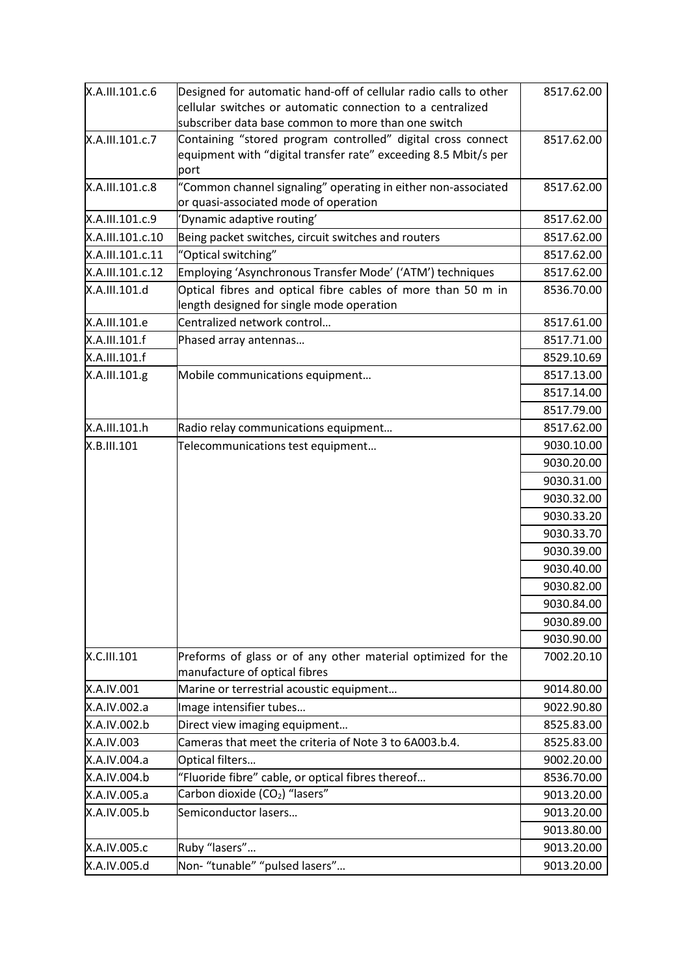| X.A.III.101.c.6  | Designed for automatic hand-off of cellular radio calls to other<br>cellular switches or automatic connection to a centralized | 8517.62.00 |
|------------------|--------------------------------------------------------------------------------------------------------------------------------|------------|
|                  | subscriber data base common to more than one switch                                                                            |            |
| X.A.III.101.c.7  | Containing "stored program controlled" digital cross connect                                                                   | 8517.62.00 |
|                  | equipment with "digital transfer rate" exceeding 8.5 Mbit/s per<br>port                                                        |            |
| X.A.III.101.c.8  | "Common channel signaling" operating in either non-associated<br>or quasi-associated mode of operation                         | 8517.62.00 |
| X.A.III.101.c.9  | 'Dynamic adaptive routing'                                                                                                     | 8517.62.00 |
| X.A.III.101.c.10 | Being packet switches, circuit switches and routers                                                                            | 8517.62.00 |
| X.A.III.101.c.11 | "Optical switching"                                                                                                            | 8517.62.00 |
| X.A.III.101.c.12 | Employing 'Asynchronous Transfer Mode' ('ATM') techniques                                                                      | 8517.62.00 |
| X.A.III.101.d    | Optical fibres and optical fibre cables of more than 50 m in<br>length designed for single mode operation                      | 8536.70.00 |
| X.A.III.101.e    | Centralized network control                                                                                                    | 8517.61.00 |
| X.A.III.101.f    | Phased array antennas                                                                                                          | 8517.71.00 |
| X.A.III.101.f    |                                                                                                                                | 8529.10.69 |
| X.A.III.101.g    | Mobile communications equipment                                                                                                | 8517.13.00 |
|                  |                                                                                                                                | 8517.14.00 |
|                  |                                                                                                                                | 8517.79.00 |
| X.A.III.101.h    | Radio relay communications equipment                                                                                           | 8517.62.00 |
| X.B.III.101      | Telecommunications test equipment                                                                                              | 9030.10.00 |
|                  |                                                                                                                                | 9030.20.00 |
|                  |                                                                                                                                | 9030.31.00 |
|                  |                                                                                                                                | 9030.32.00 |
|                  |                                                                                                                                | 9030.33.20 |
|                  |                                                                                                                                | 9030.33.70 |
|                  |                                                                                                                                | 9030.39.00 |
|                  |                                                                                                                                | 9030.40.00 |
|                  |                                                                                                                                | 9030.82.00 |
|                  |                                                                                                                                | 9030.84.00 |
|                  |                                                                                                                                | 9030.89.00 |
|                  |                                                                                                                                | 9030.90.00 |
| X.C.III.101      | Preforms of glass or of any other material optimized for the<br>manufacture of optical fibres                                  | 7002.20.10 |
| X.A.IV.001       | Marine or terrestrial acoustic equipment                                                                                       | 9014.80.00 |
| X.A.IV.002.a     | Image intensifier tubes                                                                                                        | 9022.90.80 |
| X.A.IV.002.b     | Direct view imaging equipment                                                                                                  | 8525.83.00 |
| X.A.IV.003       | Cameras that meet the criteria of Note 3 to 6A003.b.4.                                                                         | 8525.83.00 |
| X.A.IV.004.a     | Optical filters                                                                                                                | 9002.20.00 |
| X.A.IV.004.b     | "Fluoride fibre" cable, or optical fibres thereof                                                                              | 8536.70.00 |
| X.A.IV.005.a     | Carbon dioxide ( $CO2$ ) "lasers"                                                                                              | 9013.20.00 |
| X.A.IV.005.b     | Semiconductor lasers                                                                                                           | 9013.20.00 |
|                  |                                                                                                                                | 9013.80.00 |
| X.A.IV.005.c     | Ruby "lasers"                                                                                                                  | 9013.20.00 |
| X.A.IV.005.d     | Non-"tunable" "pulsed lasers"                                                                                                  | 9013.20.00 |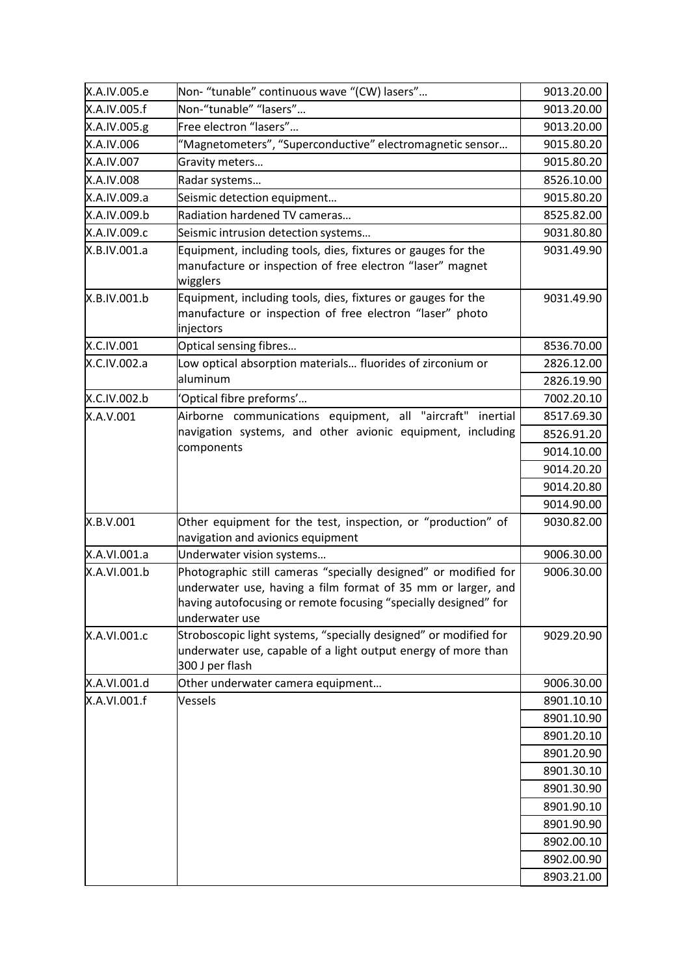| X.A.IV.005.e | Non- "tunable" continuous wave "(CW) lasers"                                                                                                                                                                         | 9013.20.00 |
|--------------|----------------------------------------------------------------------------------------------------------------------------------------------------------------------------------------------------------------------|------------|
| X.A.IV.005.f | Non-"tunable" "lasers"                                                                                                                                                                                               | 9013.20.00 |
| X.A.IV.005.g | Free electron "lasers"                                                                                                                                                                                               | 9013.20.00 |
| X.A.IV.006   | "Magnetometers", "Superconductive" electromagnetic sensor                                                                                                                                                            | 9015.80.20 |
| X.A.IV.007   | Gravity meters                                                                                                                                                                                                       | 9015.80.20 |
| X.A.IV.008   | Radar systems                                                                                                                                                                                                        | 8526.10.00 |
| X.A.IV.009.a | Seismic detection equipment                                                                                                                                                                                          | 9015.80.20 |
| X.A.IV.009.b | Radiation hardened TV cameras                                                                                                                                                                                        | 8525.82.00 |
| X.A.IV.009.c | Seismic intrusion detection systems                                                                                                                                                                                  | 9031.80.80 |
| X.B.IV.001.a | Equipment, including tools, dies, fixtures or gauges for the<br>manufacture or inspection of free electron "laser" magnet<br>wigglers                                                                                | 9031.49.90 |
| X.B.IV.001.b | Equipment, including tools, dies, fixtures or gauges for the<br>manufacture or inspection of free electron "laser" photo<br>injectors                                                                                | 9031.49.90 |
| X.C.IV.001   | Optical sensing fibres                                                                                                                                                                                               | 8536.70.00 |
| X.C.IV.002.a | Low optical absorption materials fluorides of zirconium or                                                                                                                                                           | 2826.12.00 |
|              | aluminum                                                                                                                                                                                                             | 2826.19.90 |
| X.C.IV.002.b | 'Optical fibre preforms'                                                                                                                                                                                             | 7002.20.10 |
| X.A.V.001    | Airborne communications equipment, all "aircraft"<br>inertial                                                                                                                                                        | 8517.69.30 |
|              | navigation systems, and other avionic equipment, including                                                                                                                                                           | 8526.91.20 |
|              | components                                                                                                                                                                                                           | 9014.10.00 |
|              |                                                                                                                                                                                                                      | 9014.20.20 |
|              |                                                                                                                                                                                                                      | 9014.20.80 |
|              |                                                                                                                                                                                                                      | 9014.90.00 |
| X.B.V.001    | Other equipment for the test, inspection, or "production" of<br>navigation and avionics equipment                                                                                                                    | 9030.82.00 |
| X.A.VI.001.a | Underwater vision systems                                                                                                                                                                                            | 9006.30.00 |
| X.A.VI.001.b | Photographic still cameras "specially designed" or modified for<br>underwater use, having a film format of 35 mm or larger, and<br>having autofocusing or remote focusing "specially designed" for<br>underwater use | 9006.30.00 |
| X.A.VI.001.c | Stroboscopic light systems, "specially designed" or modified for<br>underwater use, capable of a light output energy of more than<br>300 J per flash                                                                 | 9029.20.90 |
| X.A.VI.001.d | Other underwater camera equipment                                                                                                                                                                                    | 9006.30.00 |
| X.A.VI.001.f | Vessels                                                                                                                                                                                                              | 8901.10.10 |
|              |                                                                                                                                                                                                                      | 8901.10.90 |
|              |                                                                                                                                                                                                                      | 8901.20.10 |
|              |                                                                                                                                                                                                                      | 8901.20.90 |
|              |                                                                                                                                                                                                                      | 8901.30.10 |
|              |                                                                                                                                                                                                                      | 8901.30.90 |
|              |                                                                                                                                                                                                                      | 8901.90.10 |
|              |                                                                                                                                                                                                                      | 8901.90.90 |
|              |                                                                                                                                                                                                                      | 8902.00.10 |
|              |                                                                                                                                                                                                                      | 8902.00.90 |
|              |                                                                                                                                                                                                                      | 8903.21.00 |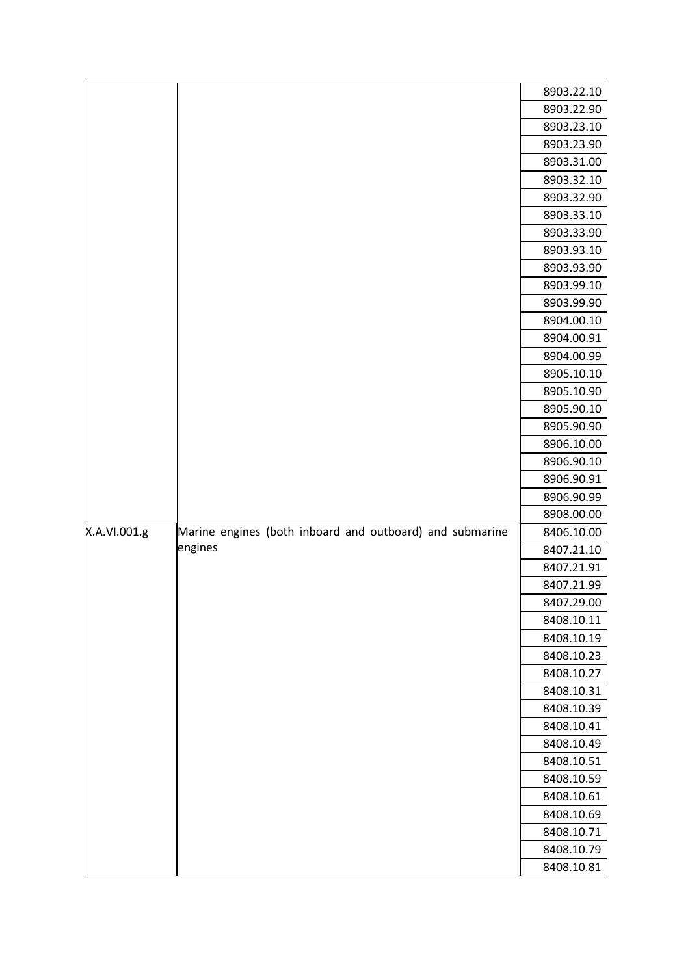|              |                                                          | 8903.22.10 |
|--------------|----------------------------------------------------------|------------|
|              |                                                          | 8903.22.90 |
|              |                                                          | 8903.23.10 |
|              |                                                          | 8903.23.90 |
|              |                                                          | 8903.31.00 |
|              |                                                          | 8903.32.10 |
|              |                                                          | 8903.32.90 |
|              |                                                          | 8903.33.10 |
|              |                                                          | 8903.33.90 |
|              |                                                          | 8903.93.10 |
|              |                                                          | 8903.93.90 |
|              |                                                          | 8903.99.10 |
|              |                                                          | 8903.99.90 |
|              |                                                          | 8904.00.10 |
|              |                                                          | 8904.00.91 |
|              |                                                          | 8904.00.99 |
|              |                                                          | 8905.10.10 |
|              |                                                          | 8905.10.90 |
|              |                                                          | 8905.90.10 |
|              |                                                          | 8905.90.90 |
|              |                                                          | 8906.10.00 |
|              |                                                          | 8906.90.10 |
|              |                                                          | 8906.90.91 |
|              |                                                          | 8906.90.99 |
|              |                                                          | 8908.00.00 |
| X.A.VI.001.g | Marine engines (both inboard and outboard) and submarine | 8406.10.00 |
|              | engines                                                  | 8407.21.10 |
|              |                                                          | 8407.21.91 |
|              |                                                          | 8407.21.99 |
|              |                                                          | 8407.29.00 |
|              |                                                          | 8408.10.11 |
|              |                                                          | 8408.10.19 |
|              |                                                          | 8408.10.23 |
|              |                                                          | 8408.10.27 |
|              |                                                          | 8408.10.31 |
|              |                                                          | 8408.10.39 |
|              |                                                          | 8408.10.41 |
|              |                                                          | 8408.10.49 |
|              |                                                          | 8408.10.51 |
|              |                                                          | 8408.10.59 |
|              |                                                          | 8408.10.61 |
|              |                                                          | 8408.10.69 |
|              |                                                          | 8408.10.71 |
|              |                                                          | 8408.10.79 |
|              |                                                          | 8408.10.81 |